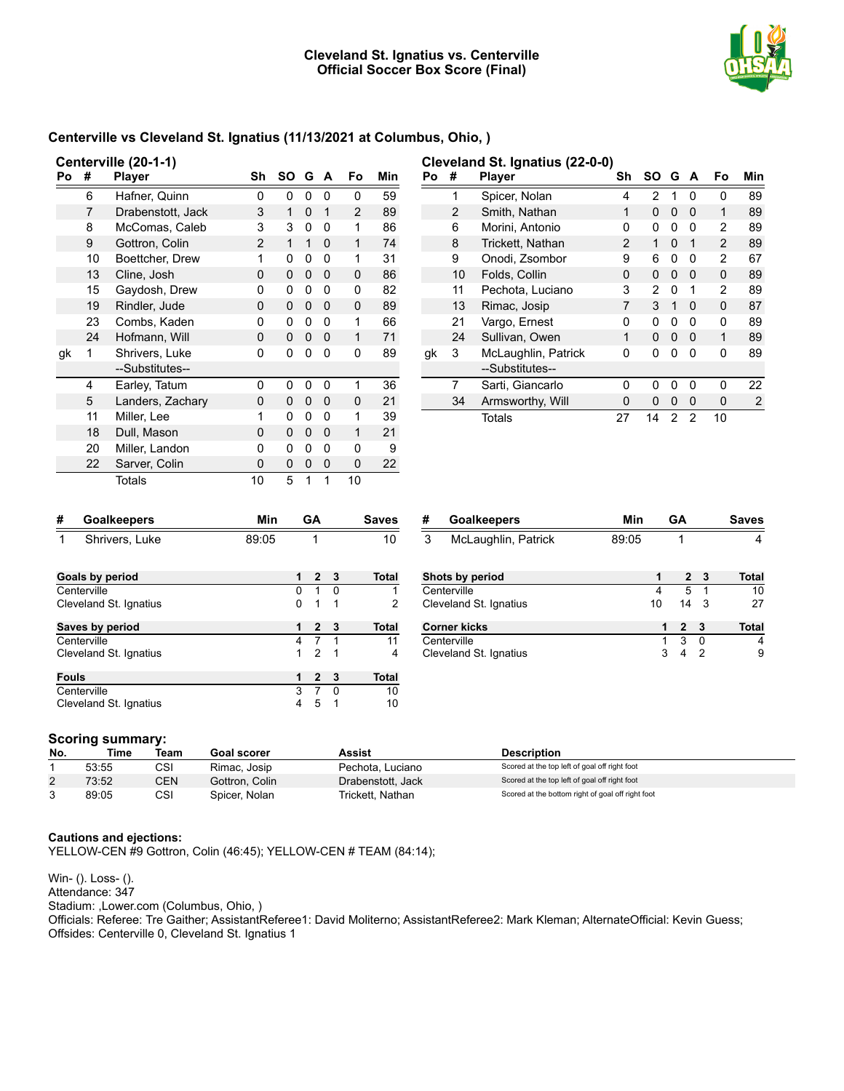

## **Centerville vs Cleveland St. Ignatius (11/13/2021 at Columbus, Ohio, )**

|    | Centerville (20-1-1) |                   |                |          |   |          |    |     |
|----|----------------------|-------------------|----------------|----------|---|----------|----|-----|
| Po | #                    | <b>Player</b>     | Sh             | SΟ       | G | A        | Fo | Min |
|    | 6                    | Hafner, Quinn     | 0              | 0        | 0 | 0        | 0  | 59  |
|    | 7                    | Drabenstott, Jack | 3              | 1        | 0 | 1        | 2  | 89  |
|    | 8                    | McComas, Caleb    | 3              | 3        | 0 | 0        | 1  | 86  |
|    | 9                    | Gottron, Colin    | $\overline{2}$ | 1        | 1 | $\Omega$ | 1  | 74  |
|    | 10                   | Boettcher, Drew   | 1              | 0        | 0 | 0        | 1  | 31  |
|    | 13                   | Cline, Josh       | 0              | 0        | 0 | $\Omega$ | 0  | 86  |
|    | 15                   | Gaydosh, Drew     | 0              | 0        | 0 | 0        | 0  | 82  |
|    | 19                   | Rindler, Jude     | 0              | 0        | 0 | 0        | 0  | 89  |
|    | 23                   | Combs, Kaden      | 0              | 0        | 0 | 0        | 1  | 66  |
|    | 24                   | Hofmann, Will     | 0              | $\Omega$ | 0 | $\Omega$ | 1  | 71  |
| gk | 1                    | Shrivers, Luke    | 0              | 0        | 0 | 0        | 0  | 89  |
|    |                      | --Substitutes--   |                |          |   |          |    |     |
|    | 4                    | Earley, Tatum     | 0              | 0        | 0 | 0        | 1  | 36  |
|    | 5                    | Landers, Zachary  | 0              | 0        | 0 | 0        | 0  | 21  |
|    | 11                   | Miller, Lee       | 1              | 0        | 0 | 0        | 1  | 39  |
|    | 18                   | Dull, Mason       | 0              | 0        | 0 | 0        | 1  | 21  |
|    | 20                   | Miller, Landon    | 0              | 0        | 0 | 0        | 0  | 9   |
|    | 22                   | Sarver, Colin     | 0              | 0        | 0 | 0        | 0  | 22  |
|    |                      | Totals            | 10             | 5        | 1 | 1        | 10 |     |

|    | Cleveland St. Ignatius (22-0-0) |                     |              |        |   |              |    |     |
|----|---------------------------------|---------------------|--------------|--------|---|--------------|----|-----|
| Po | #                               | <b>Player</b>       | Sh           | SO G A |   |              | Fo | Min |
|    | 1                               | Spicer, Nolan       | 4            | 2      | 1 | O            | ŋ  | 89  |
|    | 2                               | Smith, Nathan       | 1            | O      | O | O            | 1  | 89  |
|    | 6                               | Morini, Antonio     | 0            | 0      | 0 | 0            | 2  | 89  |
|    | 8                               | Trickett, Nathan    | $\mathbf{2}$ | 1      | 0 | 1            | 2  | 89  |
|    | 9                               | Onodi, Zsombor      | 9            | 6      | 0 | 0            | 2  | 67  |
|    | 10                              | Folds, Collin       | 0            | 0      | 0 | O            | 0  | 89  |
|    | 11                              | Pechota, Luciano    | 3            | 2      | 0 | 1            | 2  | 89  |
|    | 13                              | Rimac, Josip        | 7            | 3      | 1 | <sup>0</sup> | 0  | 87  |
|    | 21                              | Vargo, Ernest       | 0            | 0      | 0 | 0            | 0  | 89  |
|    | 24                              | Sullivan, Owen      | 1            | 0      | 0 | 0            | 1  | 89  |
| gk | 3                               | McLaughlin, Patrick | 0            | 0      | O | 0            | 0  | 89  |
|    |                                 | --Substitutes--     |              |        |   |              |    |     |
|    | 7                               | Sarti, Giancarlo    | 0            | ŋ      | O | ŋ            | O  | 22  |
|    | 34                              | Armsworthy, Will    | 0            | O      | O | 0            | 0  | 2   |
|    |                                 | Totals              | 27           | 14     | 2 | 2            | 10 |     |

| # | <b>Goalkeepers</b> | Min   | GΔ | <b>Saves</b> |
|---|--------------------|-------|----|--------------|
|   | Shrivers, Luke     | 89:05 |    |              |

| # | <b>Goalkeepers</b>  | Min   | <b>GA</b> | <b>Saves</b> |
|---|---------------------|-------|-----------|--------------|
|   | McLaughlin, Patrick | 89:05 |           |              |

| Goals by period        | 1 | $\mathbf{2}$ | - 3 | Total |
|------------------------|---|--------------|-----|-------|
| Centerville            | o | 1            | ŋ   |       |
| Cleveland St. Ignatius | 0 | 1            | 1   | 2     |
| Saves by period        | 1 | $\mathbf{2}$ | - 3 | Total |
| Centerville            | 4 | 7            |     | 11    |
| Cleveland St. Ignatius | 1 | 2            | 1   | 4     |
| <b>Fouls</b>           | 1 | 2            | - 3 | Total |
| Centerville            | 3 |              | ŋ   | 10    |
| Cleveland St. Ignatius |   | 5            |     | 10    |

| Shots by period        |    |                | 2 3 | Total |
|------------------------|----|----------------|-----|-------|
| Centerville            |    | 5              |     | 10    |
| Cleveland St. Ignatius | 10 | $14 \quad 3$   |     | 27    |
| <b>Corner kicks</b>    | 1  | 2 <sub>3</sub> |     | Total |
| Centerville            | 1  | 3              | - 0 |       |
| Cleveland St. Ignatius |    |                |     | 9     |

## **Scoring summary:**

| No.        | Time  | Team       | Goal scorer    | Assist            | <b>Description</b>                                |
|------------|-------|------------|----------------|-------------------|---------------------------------------------------|
|            | 53:55 | CSI        | Rimac, Josip   | Pechota, Luciano  | Scored at the top left of goal off right foot     |
| $\epsilon$ | 73:52 | <b>CEN</b> | Gottron, Colin | Drabenstott, Jack | Scored at the top left of goal off right foot     |
|            | 89:05 | CSI        | Spicer, Nolan  | Trickett. Nathan  | Scored at the bottom right of goal off right foot |

### **Cautions and ejections:**

YELLOW-CEN #9 Gottron, Colin (46:45); YELLOW-CEN # TEAM (84:14);

Win- (). Loss- (). Attendance: 347 Stadium: ,Lower.com (Columbus, Ohio, ) Officials: Referee: Tre Gaither; AssistantReferee1: David Moliterno; AssistantReferee2: Mark Kleman; AlternateOfficial: Kevin Guess; Offsides: Centerville 0, Cleveland St. Ignatius 1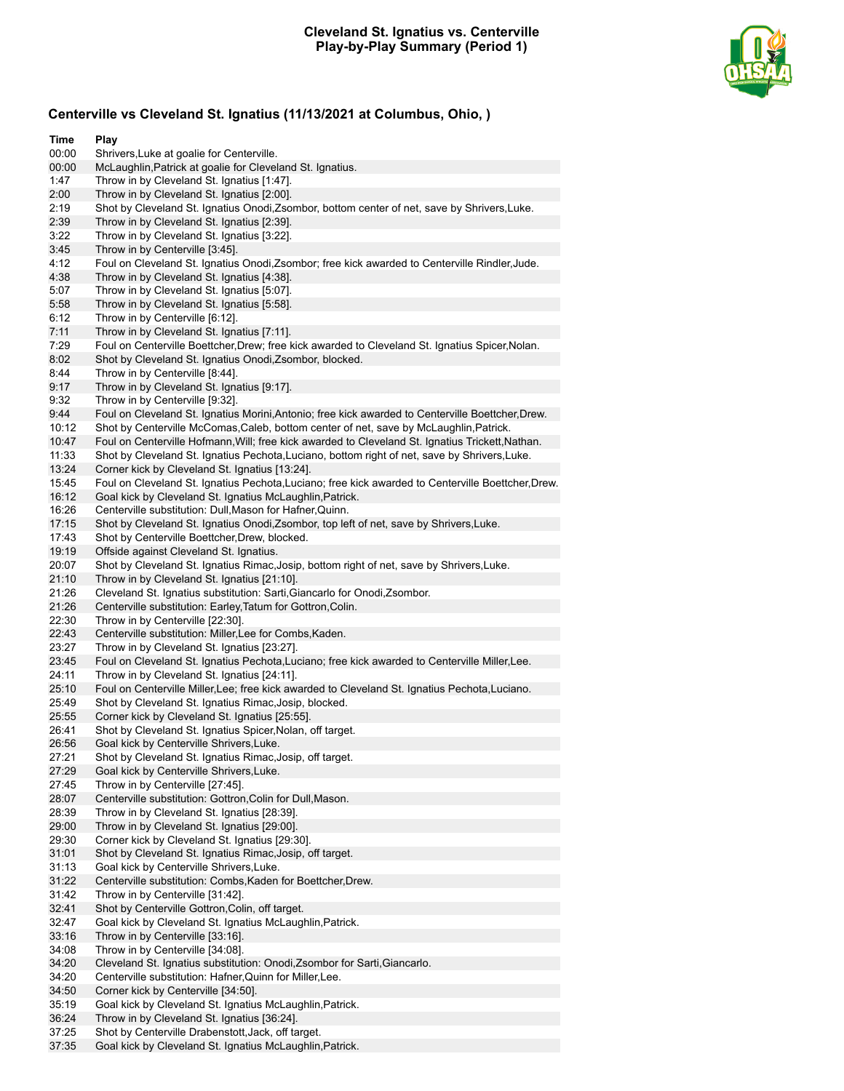

# **Centerville vs Cleveland St. Ignatius (11/13/2021 at Columbus, Ohio, )**

| Time           | Play                                                                                                                                       |
|----------------|--------------------------------------------------------------------------------------------------------------------------------------------|
| 00:00          | Shrivers, Luke at goalie for Centerville.                                                                                                  |
| 00:00          | McLaughlin, Patrick at goalie for Cleveland St. Ignatius.                                                                                  |
| 1:47           | Throw in by Cleveland St. Ignatius [1:47].                                                                                                 |
| 2:00<br>2:19   | Throw in by Cleveland St. Ignatius [2:00].<br>Shot by Cleveland St. Ignatius Onodi, Zsombor, bottom center of net, save by Shrivers, Luke. |
| 2:39           | Throw in by Cleveland St. Ignatius [2:39].                                                                                                 |
| 3:22           | Throw in by Cleveland St. Ignatius [3:22].                                                                                                 |
| 3:45           | Throw in by Centerville [3:45].                                                                                                            |
| 4:12           | Foul on Cleveland St. Ignatius Onodi, Zsombor; free kick awarded to Centerville Rindler, Jude.                                             |
| 4:38           | Throw in by Cleveland St. Ignatius [4:38].                                                                                                 |
| 5:07           | Throw in by Cleveland St. Ignatius [5:07].                                                                                                 |
| 5:58           | Throw in by Cleveland St. Ignatius [5:58].                                                                                                 |
| 6:12           | Throw in by Centerville [6:12].                                                                                                            |
| 7:11           | Throw in by Cleveland St. Ignatius [7:11].                                                                                                 |
| 7:29           | Foul on Centerville Boettcher, Drew; free kick awarded to Cleveland St. Ignatius Spicer, Nolan.                                            |
| 8:02           | Shot by Cleveland St. Ignatius Onodi, Zsombor, blocked.                                                                                    |
| 8:44<br>9:17   | Throw in by Centerville [8:44].<br>Throw in by Cleveland St. Ignatius [9:17].                                                              |
| 9:32           | Throw in by Centerville [9:32].                                                                                                            |
| 9:44           | Foul on Cleveland St. Ignatius Morini, Antonio; free kick awarded to Centerville Boettcher, Drew.                                          |
| 10:12          | Shot by Centerville McComas, Caleb, bottom center of net, save by McLaughlin, Patrick.                                                     |
| 10:47          | Foul on Centerville Hofmann, Will; free kick awarded to Cleveland St. Ignatius Trickett, Nathan.                                           |
| 11:33          | Shot by Cleveland St. Ignatius Pechota, Luciano, bottom right of net, save by Shrivers, Luke.                                              |
| 13:24          | Corner kick by Cleveland St. Ignatius [13:24].                                                                                             |
| 15:45          | Foul on Cleveland St. Ignatius Pechota, Luciano; free kick awarded to Centerville Boettcher, Drew.                                         |
| 16:12          | Goal kick by Cleveland St. Ignatius McLaughlin, Patrick.                                                                                   |
| 16:26          | Centerville substitution: Dull, Mason for Hafner, Quinn.                                                                                   |
| 17:15          | Shot by Cleveland St. Ignatius Onodi, Zsombor, top left of net, save by Shrivers, Luke.                                                    |
| 17:43          | Shot by Centerville Boettcher, Drew, blocked.<br>Offside against Cleveland St. Ignatius.                                                   |
| 19:19<br>20:07 | Shot by Cleveland St. Ignatius Rimac, Josip, bottom right of net, save by Shrivers, Luke.                                                  |
| 21:10          | Throw in by Cleveland St. Ignatius [21:10].                                                                                                |
| 21:26          | Cleveland St. Ignatius substitution: Sarti, Giancarlo for Onodi, Zsombor.                                                                  |
| 21:26          | Centerville substitution: Earley, Tatum for Gottron, Colin.                                                                                |
| 22:30          | Throw in by Centerville [22:30].                                                                                                           |
| 22:43          | Centerville substitution: Miller, Lee for Combs, Kaden.                                                                                    |
| 23:27          | Throw in by Cleveland St. Ignatius [23:27].                                                                                                |
| 23:45          | Foul on Cleveland St. Ignatius Pechota, Luciano; free kick awarded to Centerville Miller, Lee.                                             |
| 24:11          | Throw in by Cleveland St. Ignatius [24:11].                                                                                                |
| 25:10          | Foul on Centerville Miller, Lee; free kick awarded to Cleveland St. Ignatius Pechota, Luciano.                                             |
| 25:49<br>25:55 | Shot by Cleveland St. Ignatius Rimac, Josip, blocked.<br>Corner kick by Cleveland St. Ignatius [25:55].                                    |
| 26:41          | Shot by Cleveland St. Ignatius Spicer, Nolan, off target.                                                                                  |
| 26:56          | Goal kick by Centerville Shrivers, Luke.                                                                                                   |
| 27:21          | Shot by Cleveland St. Ignatius Rimac, Josip, off target.                                                                                   |
| 27:29          | Goal kick by Centerville Shrivers, Luke.                                                                                                   |
| 27:45          | Throw in by Centerville [27:45].                                                                                                           |
| 28:07          | Centerville substitution: Gottron, Colin for Dull, Mason.                                                                                  |
| 28:39          | Throw in by Cleveland St. Ignatius [28:39].                                                                                                |
| 29:00          | Throw in by Cleveland St. Ignatius [29:00].                                                                                                |
| 29:30          | Corner kick by Cleveland St. Ignatius [29:30].                                                                                             |
| 31:01          | Shot by Cleveland St. Ignatius Rimac, Josip, off target.                                                                                   |
| 31:13<br>31:22 | Goal kick by Centerville Shrivers, Luke.<br>Centerville substitution: Combs, Kaden for Boettcher, Drew.                                    |
| 31:42          | Throw in by Centerville [31:42].                                                                                                           |
| 32:41          | Shot by Centerville Gottron, Colin, off target.                                                                                            |
| 32:47          | Goal kick by Cleveland St. Ignatius McLaughlin, Patrick.                                                                                   |
| 33:16          | Throw in by Centerville [33:16].                                                                                                           |
| 34:08          | Throw in by Centerville [34:08].                                                                                                           |
| 34:20          | Cleveland St. Ignatius substitution: Onodi, Zsombor for Sarti, Giancarlo.                                                                  |
| 34:20          | Centerville substitution: Hafner, Quinn for Miller, Lee.                                                                                   |
| 34:50          | Corner kick by Centerville [34:50].                                                                                                        |
| 35:19          | Goal kick by Cleveland St. Ignatius McLaughlin, Patrick.                                                                                   |
| 36:24<br>37:25 | Throw in by Cleveland St. Ignatius [36:24].                                                                                                |
| 37:35          | Shot by Centerville Drabenstott, Jack, off target.<br>Goal kick by Cleveland St. Ignatius McLaughlin, Patrick.                             |
|                |                                                                                                                                            |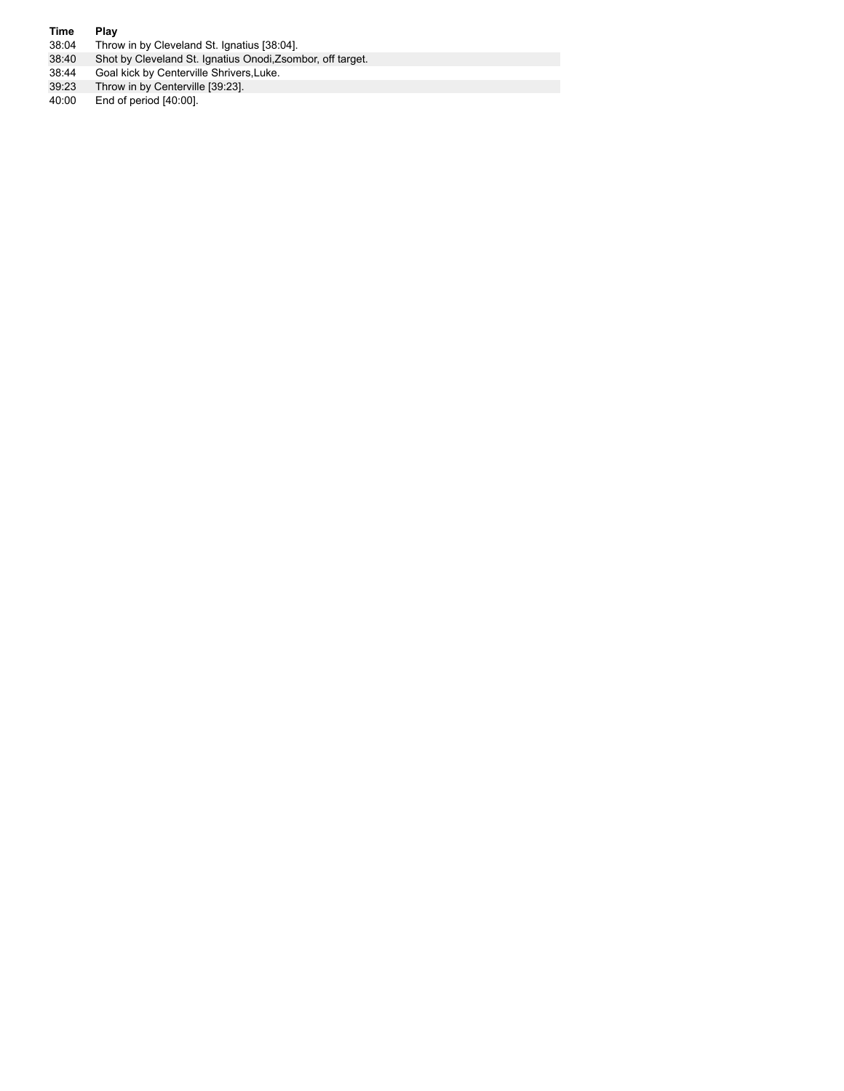- **Time Play**<br>38:04 **Throv** 38:04 Throw in by Cleveland St. Ignatius [38:04].
- 38:40 Shot by Cleveland St. Ignatius Onodi,Zsombor, off target.
- 38:44 Goal kick by Centerville Shrivers,Luke.
- 39:23 Throw in by Centerville [39:23].
- 40:00 End of period [40:00].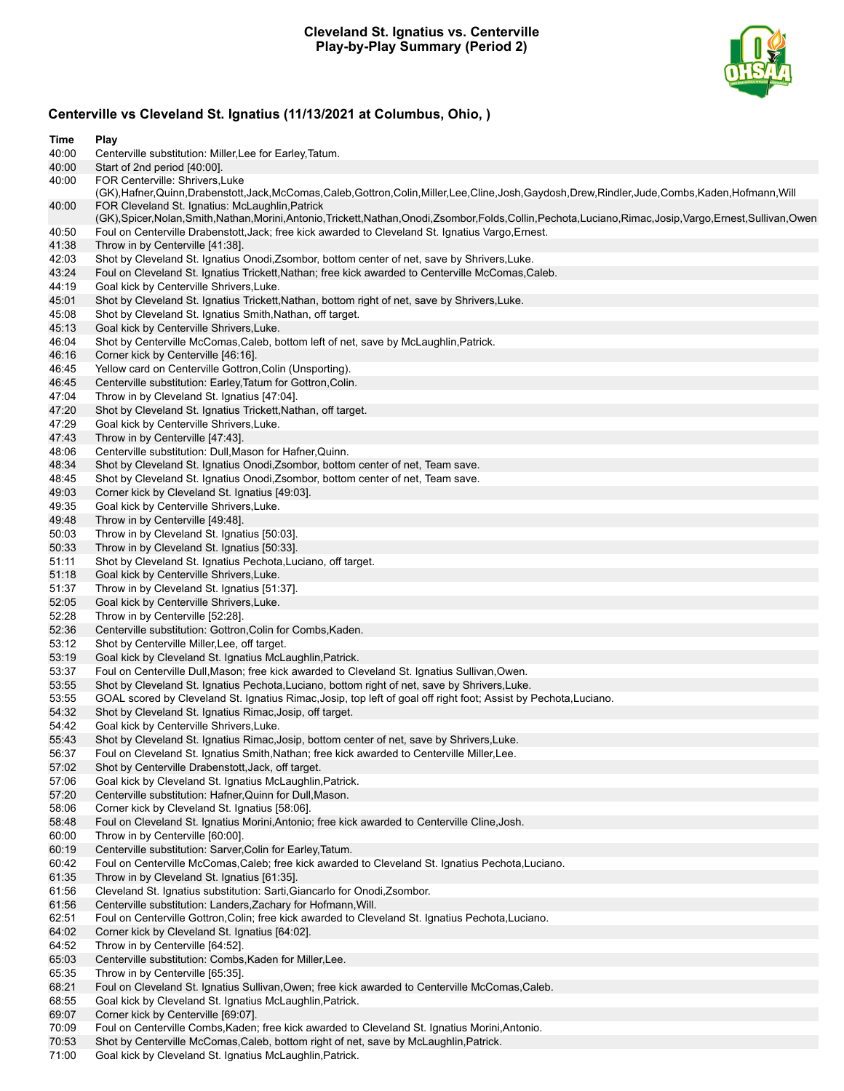## **Cleveland St. Ignatius vs. Centerville Play-by-Play Summary (Period 2)**



# **Centerville vs Cleveland St. Ignatius (11/13/2021 at Columbus, Ohio, )**

| Time           | Play                                                                                                                                                       |
|----------------|------------------------------------------------------------------------------------------------------------------------------------------------------------|
| 40:00          | Centerville substitution: Miller, Lee for Earley, Tatum.                                                                                                   |
| 40:00<br>40:00 | Start of 2nd period [40:00].<br>FOR Centerville: Shrivers, Luke                                                                                            |
|                | (GK),Hafner,Quinn,Drabenstott,Jack,McComas,Caleb,Gottron,Colin,Miller,Lee,Cline,Josh,Gaydosh,Drew,Rindler,Jude,Combs,Kaden,Hofmann,Will                    |
| 40:00          | FOR Cleveland St. Ignatius: McLaughlin, Patrick                                                                                                            |
|                | (GK),Spicer,Nolan,Smith,Nathan,Morini,Antonio,Trickett,Nathan,Onodi,Zsombor,Folds,Collin,Pechota,Luciano,Rimac,Josip,Vargo,Ernest,Sullivan,Owen            |
| 40:50          | Foul on Centerville Drabenstott, Jack; free kick awarded to Cleveland St. Ignatius Vargo, Ernest.                                                          |
| 41:38          | Throw in by Centerville [41:38].                                                                                                                           |
| 42:03          | Shot by Cleveland St. Ignatius Onodi, Zsombor, bottom center of net, save by Shrivers, Luke.                                                               |
| 43:24          | Foul on Cleveland St. Ignatius Trickett, Nathan; free kick awarded to Centerville McComas, Caleb.                                                          |
| 44:19          | Goal kick by Centerville Shrivers, Luke.                                                                                                                   |
| 45:01<br>45:08 | Shot by Cleveland St. Ignatius Trickett, Nathan, bottom right of net, save by Shrivers, Luke.<br>Shot by Cleveland St. Ignatius Smith, Nathan, off target. |
| 45:13          | Goal kick by Centerville Shrivers, Luke.                                                                                                                   |
| 46:04          | Shot by Centerville McComas, Caleb, bottom left of net, save by McLaughlin, Patrick.                                                                       |
| 46:16          | Corner kick by Centerville [46:16].                                                                                                                        |
| 46:45          | Yellow card on Centerville Gottron, Colin (Unsporting).                                                                                                    |
| 46:45          | Centerville substitution: Earley, Tatum for Gottron, Colin.                                                                                                |
| 47:04          | Throw in by Cleveland St. Ignatius [47:04].                                                                                                                |
| 47:20          | Shot by Cleveland St. Ignatius Trickett, Nathan, off target.                                                                                               |
| 47:29          | Goal kick by Centerville Shrivers, Luke.                                                                                                                   |
| 47:43          | Throw in by Centerville [47:43].                                                                                                                           |
| 48:06          | Centerville substitution: Dull, Mason for Hafner, Quinn.                                                                                                   |
| 48:34          | Shot by Cleveland St. Ignatius Onodi, Zsombor, bottom center of net, Team save.                                                                            |
| 48:45<br>49:03 | Shot by Cleveland St. Ignatius Onodi, Zsombor, bottom center of net, Team save.<br>Corner kick by Cleveland St. Ignatius [49:03].                          |
| 49:35          | Goal kick by Centerville Shrivers, Luke.                                                                                                                   |
| 49:48          | Throw in by Centerville [49:48].                                                                                                                           |
| 50:03          | Throw in by Cleveland St. Ignatius [50:03].                                                                                                                |
| 50:33          | Throw in by Cleveland St. Ignatius [50:33].                                                                                                                |
| 51:11          | Shot by Cleveland St. Ignatius Pechota, Luciano, off target.                                                                                               |
| 51:18          | Goal kick by Centerville Shrivers, Luke.                                                                                                                   |
| 51:37          | Throw in by Cleveland St. Ignatius [51:37].                                                                                                                |
| 52:05          | Goal kick by Centerville Shrivers, Luke.                                                                                                                   |
| 52:28          | Throw in by Centerville [52:28].                                                                                                                           |
| 52:36          | Centerville substitution: Gottron, Colin for Combs, Kaden.                                                                                                 |
| 53:12          | Shot by Centerville Miller, Lee, off target.                                                                                                               |
| 53:19<br>53:37 | Goal kick by Cleveland St. Ignatius McLaughlin, Patrick.<br>Foul on Centerville Dull, Mason; free kick awarded to Cleveland St. Ignatius Sullivan, Owen.   |
| 53:55          | Shot by Cleveland St. Ignatius Pechota, Luciano, bottom right of net, save by Shrivers, Luke.                                                              |
| 53:55          | GOAL scored by Cleveland St. Ignatius Rimac, Josip, top left of goal off right foot; Assist by Pechota, Luciano.                                           |
| 54:32          | Shot by Cleveland St. Ignatius Rimac, Josip, off target.                                                                                                   |
| 54:42          | Goal kick by Centerville Shrivers, Luke.                                                                                                                   |
| 55:43          | Shot by Cleveland St. Ignatius Rimac, Josip, bottom center of net, save by Shrivers, Luke.                                                                 |
| 56:37          | Foul on Cleveland St. Ignatius Smith, Nathan; free kick awarded to Centerville Miller, Lee.                                                                |
| 57:02          | Shot by Centerville Drabenstott, Jack, off target.                                                                                                         |
| 57:06          | Goal kick by Cleveland St. Ignatius McLaughlin, Patrick.                                                                                                   |
| 57:20          | Centerville substitution: Hafner, Quinn for Dull, Mason.                                                                                                   |
| 58:06          | Corner kick by Cleveland St. Ignatius [58:06].                                                                                                             |
| 58:48          | Foul on Cleveland St. Ignatius Morini, Antonio; free kick awarded to Centerville Cline, Josh.                                                              |
| 60:00<br>60:19 | Throw in by Centerville [60:00].<br>Centerville substitution: Sarver, Colin for Earley, Tatum.                                                             |
| 60:42          | Foul on Centerville McComas, Caleb; free kick awarded to Cleveland St. Ignatius Pechota, Luciano.                                                          |
| 61:35          | Throw in by Cleveland St. Ignatius [61:35].                                                                                                                |
| 61:56          | Cleveland St. Ignatius substitution: Sarti, Giancarlo for Onodi, Zsombor.                                                                                  |
| 61:56          | Centerville substitution: Landers, Zachary for Hofmann, Will.                                                                                              |
| 62:51          | Foul on Centerville Gottron, Colin; free kick awarded to Cleveland St. Ignatius Pechota, Luciano.                                                          |
| 64:02          | Corner kick by Cleveland St. Ignatius [64:02].                                                                                                             |
| 64:52          | Throw in by Centerville [64:52].                                                                                                                           |
| 65:03          | Centerville substitution: Combs, Kaden for Miller, Lee.                                                                                                    |
| 65:35          | Throw in by Centerville [65:35].                                                                                                                           |
| 68:21          | Foul on Cleveland St. Ignatius Sullivan, Owen; free kick awarded to Centerville McComas, Caleb.                                                            |
| 68:55<br>69:07 | Goal kick by Cleveland St. Ignatius McLaughlin, Patrick.<br>Corner kick by Centerville [69:07].                                                            |
| 70:09          | Foul on Centerville Combs, Kaden; free kick awarded to Cleveland St. Ignatius Morini, Antonio.                                                             |
| 70:53          | Shot by Centerville McComas, Caleb, bottom right of net, save by McLaughlin, Patrick.                                                                      |
|                |                                                                                                                                                            |

71:00 Goal kick by Cleveland St. Ignatius McLaughlin,Patrick.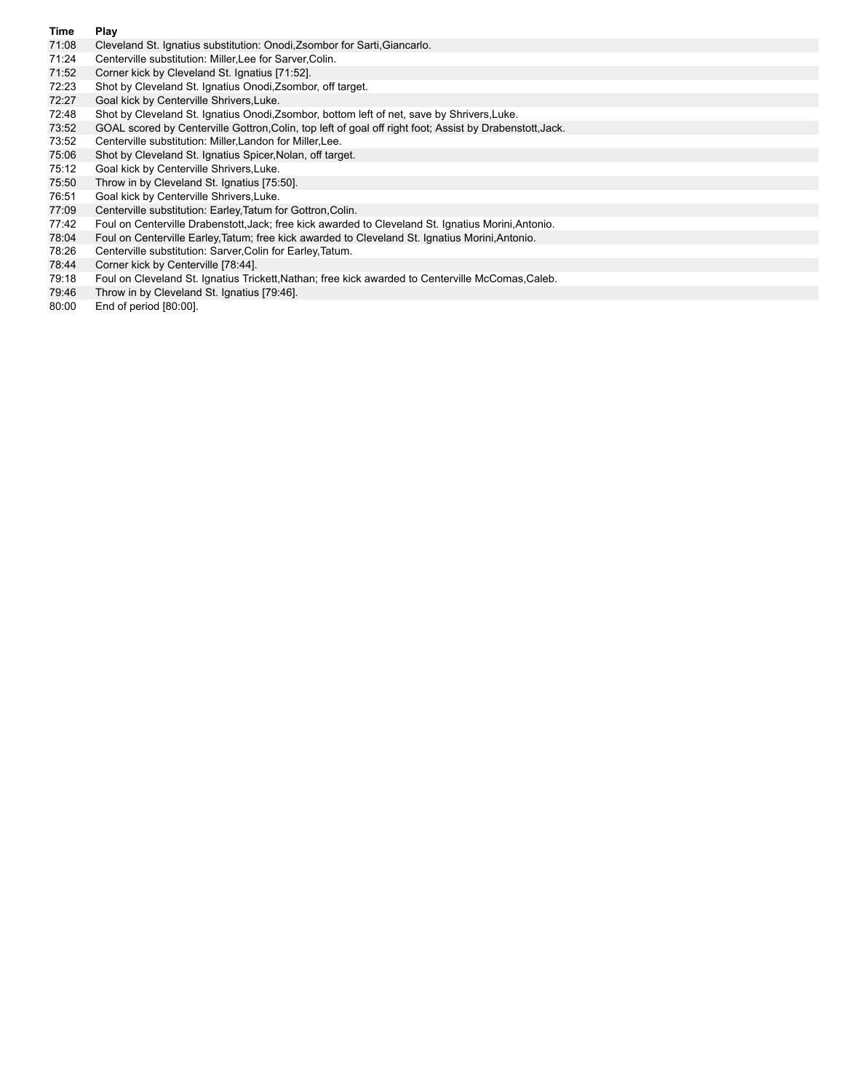- **Time Play** Cleveland St. Ignatius substitution: Onodi,Zsombor for Sarti,Giancarlo.
- 71:24 Centerville substitution: Miller,Lee for Sarver,Colin.
- 71:52 Corner kick by Cleveland St. Ignatius [71:52].
- 72:23 Shot by Cleveland St. Ignatius Onodi,Zsombor, off target.
- 72:27 Goal kick by Centerville Shrivers,Luke.
- 72:48 Shot by Cleveland St. Ignatius Onodi,Zsombor, bottom left of net, save by Shrivers,Luke.<br>73:52 GOAL scored by Centerville Gottron,Colin, top left of goal off right foot; Assist by Drabens
- GOAL scored by Centerville Gottron,Colin, top left of goal off right foot; Assist by Drabenstott,Jack.
- 73:52 Centerville substitution: Miller,Landon for Miller,Lee.
- 75:06 Shot by Cleveland St. Ignatius Spicer,Nolan, off target.
- 75:12 Goal kick by Centerville Shrivers,Luke.
- 75:50 Throw in by Cleveland St. Ignatius [75:50].
- 76:51 Goal kick by Centerville Shrivers,Luke.
- 77:09 Centerville substitution: Earley,Tatum for Gottron,Colin.
- 77:42 Foul on Centerville Drabenstott,Jack; free kick awarded to Cleveland St. Ignatius Morini,Antonio.
- 78:04 Foul on Centerville Earley,Tatum; free kick awarded to Cleveland St. Ignatius Morini,Antonio.
- 78:26 Centerville substitution: Sarver,Colin for Earley,Tatum.
- 78:44 Corner kick by Centerville [78:44].
- 79:18 Foul on Cleveland St. Ignatius Trickett,Nathan; free kick awarded to Centerville McComas,Caleb.
- 79:46 Throw in by Cleveland St. Ignatius [79:46].
- 80:00 End of period [80:00].